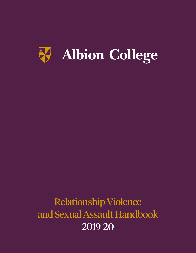

# Relationship Violence and Sexual Assault Handbook 2019-20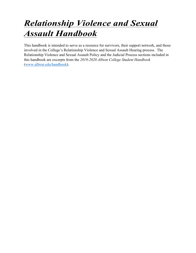# *Relationship Violence and Sexual Assault Handbook*

This handbook is intended to serve as a resource for survivors, their support network, and those involved in the College's Relationship Violence and Sexual Assault Hearing process. The Relationship Violence and Sexual Assault Policy and the Judicial Process sections included in this handbook are excerpts from the *2019-2020 Albion College Student Handbook*  (www.albion.edu/handbook).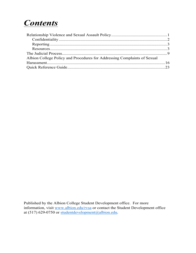# *Contents*

| Albion College Policy and Procedures for Addressing Complaints of Sexual |  |
|--------------------------------------------------------------------------|--|
|                                                                          |  |
|                                                                          |  |

Published by the Albion College Student Development office. For more information, visit www.albion.edu/rvsa or contact the Student Development office at (517) 629-0750 or studentdevelopment@albion.edu.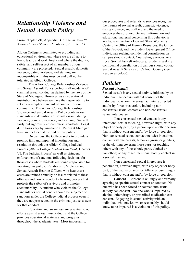# *Relationship Violence and Sexual Assault Policy*

From Chapter VII, Appendix B. of the *2019-2020 Albion College Student Handbook* (pp. 108-115)

Albion College is committed to providing an educational environment where we are all able to learn, teach, and work freely and where the dignity, safety, and self-respect of all members of our community are protected. Sexual assault, domestic violence, dating violence, and stalking are incompatible with this mission and will not be tolerated at Albion College.

The Albion College Relationship Violence and Sexual Assault Policy prohibits all incidents of criminal sexual conduct as defined by the laws of the State of Michigan. However, as an educational institution, we believe we have the responsibility to set an even higher standard of conduct for our community. The Albion College Relationship Violence and Sexual Assault Policy contains our standards and definitions of sexual assault, dating violence, domestic violence, and stalking. We will fairly but rigorously enforce these standards. Legal definitions vary by jurisdiction. Relevant Michigan laws are included at the end of this policy.

On campus, the College seeks to provide a prompt, fair, and impartial investigation and resolution through the Albion College Judicial Process (*Albion College Student Handbook*, Chapter VI, The Judicial Process) as well as stringent enforcement of sanctions following decisions for those cases where students are found responsible for violating this policy. Relationship Violence and Sexual Assault Hearing Officers who hear these cases are trained annually on issues related to these offenses and how to conduct a hearing process that protects the safety of survivors and promotes accountability. A student who violates the College standards for sexual conduct could be subjected to sanctions under the College judicial process even if they are not prosecuted in the criminal justice system for that conduct.

Education and awareness are essential to our efforts against sexual misconduct, and the College provides educational materials and programs throughout the academic year. Most importantly,

our procedures and referrals to services recognize the trauma of sexual assault, domestic violence, dating violence, and stalking and the need to empower the survivor. General information and educational material concerning this behavior is available in the Anna Howard Shaw Women's Center, the Office of Human Resources, the Office of the Provost, and the Student Development Office. Individuals seeking confidential consultation on campus should contact, Counseling Services, or a Local Sexual Assault Advocate. Students seeking confidential consultation off campus should contact Sexual Assault Services of Calhoun County (see Resources below).

# *Policies Sexual Assault*

Sexual assault is any sexual activity initiated by an individual that occurs without consent of the individual to whom the sexual activity is directed and/or by force or coercion, including nonconsensual sexual contact and non-consensual sexual intercourse.

Non-consensual sexual contact is any intentional sexual touching, however slight, with any object or body part, by a person upon another person that is without consent and/or by force or coercion. Non-consensual sexual contact includes intentional contact with the breasts, buttocks, groin, or genitals, or the clothing covering those parts; or touching others with any of these body parts, clothed or unclothed; or any other intentional bodily contact in a sexual manner.

Non-consensual sexual intercourse is penetration, however slight, with any object or body part, of the vagina or anus, or fellatio or cunnilingus that is without consent and/or by force or coercion.

**Consent –** Consent is willingly and verbally agreeing to specific sexual contact or conduct. No one who has been forced or coerced into sexual activity can consent. No one who is impaired by alcohol, other drugs, or prescribed medication can consent. Engaging in sexual activity with an individual who one knows or reasonably should know to be impaired is a violation of this policy.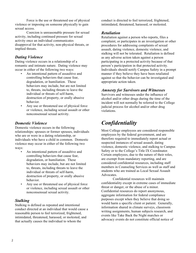Force is the use or threatened use of physical violence or imposing on someone physically to gain sexual access.

Coercion is unreasonable pressure for sexual activity, including continued pressure for sexual activity once an individual communicates disapproval for that activity, non-physical threats, or implied threats.

### *Dating Violence*

Dating violence occurs in a relationship of a romantic and intimate nature. Dating violence may occur in either of the following two ways:

- An intentional pattern of assaultive and controlling behaviors that cause fear, degradation, or humiliation. These behaviors may include, but are not limited to, threats, including threats to leave the individual or threats of self-harm, destruction of property, or orally abusive behavior.
- Any use or threatened use of physical force or violence, including sexual assault or other nonconsensual sexual activity.

### *Domestic Violence*

Domestic violence occurs in the following relationships: spouses or former spouses, individuals who are or were in a dating relationship, or individuals who have a child in common. Domestic violence may occur in either of the following two ways:

- An intentional pattern of assaultive and controlling behaviors that cause fear, degradation, or humiliation. These behaviors may include, but are not limited to, threats, including threats to leave the individual or threats of self-harm, destruction of property, or orally abusive behavior.
- Any use or threatened use of physical force or violence, including sexual assault or other nonconsensual sexual activity.

### *Stalking*

Stalking is defined as repeated and intentional conduct directed at an individual that would cause a reasonable person to feel terrorized, frightened, intimidated, threatened, harassed, or molested, and that actually causes the individual to whom the

conduct is directed to feel terrorized, frightened, intimidated, threatened, harassed, or molested.

### *Retaliation*

Retaliation against a person who reports, files a complaint, or participates in an investigation or other procedures for addressing complaints of sexual assault, dating violence, domestic violence, and stalking will not be tolerated. Retaliation is defined as any adverse action taken against a person participating in a protected activity because of that person's participation in that protected activity. Individuals should notify Campus Safety in a prompt manner if they believe they have been retaliated against so that the behavior can be investigated and appropriate action taken.

### *Amnesty for Survivors and Witnesses*

Survivors and witnesses under the influence of alcohol and/or other drugs during the time of the incident will not normally be referred to the College judicial process for alcohol and/or other drug violations.

# *Confidentiality*

Most College employees are considered responsible employees by the federal government, and are therefore required to immediately report actual or suspected instances of sexual assault, dating violence, domestic violence, and stalking to Campus Safety or to the College's Title IX Coordinator. Certain employees, due to the nature of their roles, are exempt from mandatory reporting, and are considered confidential resources, including staff members in Counseling Services as well as staff and students who are trained as Local Sexual Assault **Advocates** 

Confidential resources will maintain confidentiality except in extreme cases of immediate threat or danger, or the abuse of a minor. Confidential resources do report anonymous, aggregate information for federal compliance purposes except when they believe that doing so would harm a specific client or patient. Generally, information shared in climate surveys, classroom writing assignments, human subjects research, and events like Take Back the Night marches or advocacy events do not constitute official notice of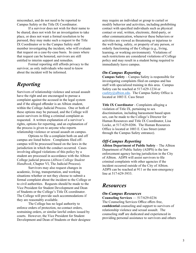misconduct, and do not need to be reported to Campus Safety or the Title IX Coordinator.

If a survivor does not wish for their name to be shared, does not wish for an investigation to take place, or does not want a formal resolution to be pursued, they may make such a request to the Title IX Coordinator or to the Campus Safety staff member investigating the incident, who will evaluate that request on a case-by-case basis. In cases where that request can be honored, survivors are still entitled to interim support and remedies.

Formal reporting still affords privacy to the survivor, as only individuals who need to know about the incident will be informed.

# *Reporting*

Survivors of relationship violence and sexual assault have the right and are encouraged to pursue a complaint against the accused in the legal system and if the alleged offender is an Albion student, within the College Judicial Process. One or both of these options may be pursued, and the College will assist survivors in filing a criminal complaint as requested. A written explanation of a survivor's rights, options for reporting, and an explanation of the process is given to anyone who reports relationship violence or sexual assault on campus.

Options to file a complaint both on and off campus are listed below. Complaints filed offcampus will be processed based on the laws in the jurisdiction in which the conduct occurred. Cases involving alleged violations of this policy by a student are processed in accordance with the Albion College judicial process (*Albion College Student Handbook*, Chapter VI, The Judicial Process).

Survivors may also request changes in academic, living, transportation, and working situations whether or not they choose to submit a formal complaint about the incident to the College or to civil authorities. Requests should be made to the Vice President for Student Development and Dean of Students or the College's Title IX coordinator. The College will provide such accommodations if they are reasonably available.

The College has no legal authority to enforce orders of protection, no-contact orders, restraining orders, or similar lawful orders issued by courts. However, the Vice President for Student Development and Dean of Students or their designee

may require an individual or group to curtail or modify behavior and activities, including prohibiting contact with specified individuals such as physical contact or oral, written, electronic, third-party, or other communication, whenever these behaviors or activities are viewed as threatening or injurious to the well-being, safety, or property of any person, or orderly functioning of the College (e.g., living, learning, or working environment). Violations of such restrictions are considered violations of College policy and may result in a student being required to immediately leave campus.

### *On-Campus Reporting*

**Campus Safety** – Campus Safety is responsible for investigating complaints filed on campus and has staff with specialized training in this area. Campus Safety can be reached at 517-629-1234 or csafety@albion.edu. The Campus Safety Office is located at 1003 E. Cass Street

**Title IX Coordinator** - Complaints alleging a violation of Title IX, pertaining to sex discrimination, including harassment based upon sex, can be made to the College's Director for Human Resources and Title IX Coordinator, Lisa Locke, at 517-629-0206. The Human Resources Office is located at 1003 E. Cass Street (enter through the Campus Safety entrance).

### *Off-Campus Reporting*

**Albion Department of Public Safety** – The Albion Department of Public Safety (ADPS) is the law enforcement agency having jurisdiction in the City of Albion. ADPS will assist survivors to file criminal complaints with other agencies if the incident occurred outside of the City of Albion. ADPS can be reached at 911 or the non-emergency line at 517-629-3933.

# *Resources*

### *On-Campus Resources*

**Counseling Services** — 517/629-0236 The Counseling Services Office offers free, **confidential** counseling and support to survivors of relationship violence and sexual assault. The counseling staff are dedicated and experienced in providing personal assistance to survivors and others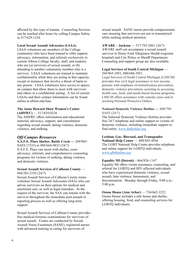affected by this type of trauma. Counseling Services can be reached after hours by calling Campus Safety at 517/629-1234.

### **Local Sexual Assault Advocates (LSAA)**

LSAA volunteers are members of the College community who have been trained to offer support, advocacy, information, and referrals exclusively to current Albion College faculty, staff, and students who are (a) survivors of sexual assault, or (b) attending to another community member who is a survivor. LSAA volunteers are trained to maintain confidentiality while they are acting in that capacity, except in instances that involve a threat of harm to any person. LSAA volunteers have access to spaces on campus that allow them to meet with survivors and others in a confidential setting. A list of current LSAAs and their contact information can be found online at albion.edu/lsaa.

### **The Anna Howard Shaw Women's Center (AHSWC)** — 517/629-0226

The AHSWC offers information and educational material, advocacy, support, and consultation regarding sexual assault, dating violence, domestic violence, and stalking.

### *Off-Campus Resources*

**S.A.F.E. Place Shelter, Battle Creek —** 269/965- SAFE (7233) or 888/664-9832 (24/7) S.A.F.E. Place can assist with shelter, court advocacy, referrals, and comprehensive counseling programs for victims of stalking, dating violence, and domestic violence.

### **Sexual Assault Services of Calhoun County** — 888/383-2192 (24/7)

Sexual Assault Services of Calhoun County trains volunteer Sexual Assault Advocates (SAA) who can advise survivors on their options for medical and emotional care, as well as legal remedies. At the request of the survivor, the SAA can remain with the survivor throughout the immediate post-assault or reporting process as well as offering long-term support.

Sexual Assault Services of Calhoun County provides free medical-forensic examinations for survivors of sexual assault. Exams are conducted by Sexual Assault Nurse Examiners (SANE), registered nurses with advanced training in caring for survivors of

sexual assault. SANE nurses provide compassionate care ensuring that survivors are not re-traumatized while seeking medical attention.

### **AWARE – Jackson** — 517/783-2861 (24/7)

AWARE staff can accompany a sexual assault survivor to Henry Ford Allegiance Health (regional hospital) and City Police or Sheriff Department. Counseling and support group are also available.

### **Legal Services of South Central Michigan** —

269/965-3951, 800/688-3951

Legal Services of South Central Michigan (LSSCM) provides free civil legal assistance to low income persons with emphasis on homelessness prevention, domestic violence prevention, assisting in accessing health care, food, and needs-based income programs. LSSCM offers assistance with custody cases and in securing Personal Protective Orders.

### **National Domestic Violence Hotline —** 800/799- SAFE (24/7)

The National Domestic Violence Hotline provides free 24/7 telephone and online support to victims of domestic violence, including immediate support to find safety. www.thehotline.org

### **Lesbian, Gay, Bisexual, and Transgender**

**National Help Center** — 888/843-4564 The LGBT National Help Center provides telephone and online support for LGBTQ individuals. www.glbthotline.org

### **Equality MI (Detroit)**—866/926-1147

Equality MI offers victim assistance, counseling, and referral for LGBTQ and HIV-affected individuals who have experienced domestic violence, sexual assault, hate violence, harassment, and discrimination. Monday through Friday, 9:00 a.m.- 5:00 p.m.

### **Ozone House (Ann Arbor)** — 734/662-2222 Ozone House includes a safe house and shelter, offering housing, food, and counseling services for LGBTQ individuals.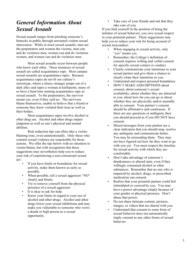# *General Information About Sexual Assault*

Sexual assault ranges from pinching someone's buttocks in public through unwanted violent sexual intercourse. While in most sexual assaults, men are the perpetrators and women the victims, men can and do victimize men, women can and do victimize women, and women can and do victimize men.

Most sexual assaults occur between people who know each other. These instances of sexual assault are called acquaintance rape. Most campus sexual assaults are acquaintance rapes. Because acquaintance rapes do not fit our culture's stereotype, where a sleazy stranger jumps out of a dark alley and rapes a woman at knifepoint, many of us have a hard time naming acquaintance rape as sexual assault. To the perpetrators, the survivor meant yes, even if they said no. The survivors blame themselves, unable to believe that a friend or someone they knew violated their trust as well as their bodies.

Most acquaintance rapes involve alcohol or other drug use. Alcohol and other drugs impair judgment as well as one's physical and mental abilities.

Risk reduction tips can often take a victimblaming tone, even unintentionally. Only those who commit sexual violence are responsible for those actions. We offer the tips below with no intention to victim-blame, but with recognition that these suggestions may nevertheless help you to reduce your risk of experiencing a non-consensual sexual act:

- If you have limits or boundaries for sexual activity, make them known as early as possible.
- When possible, tell a sexual aggressor "NO" clearly and firmly.
- Try to remove yourself from the physical presence of a sexual aggressor.
- It is okay to ask for help.
- Know your limits in regard to your use of alcohol and other drugs. Alcohol and other drugs lower your sexual inhibitions and may make you vulnerable to someone who views a drunk or high person as a sexual opportunity.

• Take care of your friends and ask that they take care of you.

If you find yourself in the position of being the initiator of sexual behavior, you owe sexual respect to your potential partner. These suggestions may help you to reduce your risk for being accused of sexual misconduct:

- When engaging in sexual activity, only "ves" means yes.
- Remember, the College's definition of consent requires willing and verbal consent for specific sexual contact or conduct.
- Clearly communicate your intentions to your sexual partner and give them a chance to clearly relate their intentions to you.
- Understand and respect personal boundaries.
- DON'T MAKE ASSUMPTIONS about consent; about someone's sexual availability; about whether they are attracted to you; about how far you can go or about whether they are physically and/or mentally able to consent. Your partner's consent should be affirmative and continuous. If there are any questions or ambiguity then you should proceed as if you DO NOT have consent.
- Mixed messages from your partner are a clear indication that you should stop, resolve any ambiguity and communicate better. You may be misreading them. They may not have figured out how far they want to go with you yet. You must respect the timeline for sexual activity with which they are comfortable.
- Don't take advantage of someone's drunkenness or altered state, even if they willingly consumed alcohol or other substances. Remember that no one who is impaired by alcohol, drugs, or prescribed medication can consent.
- Realize that your potential partner could feel intimidated or coerced by you. You may have a power advantage simply because of your gender or physical presence. Don't abuse that power.
- Do not share intimate content, pictures, images, or videos that are shared with you.
- Understand that consent to some form of sexual behavior does not automatically imply consent to any other forms of sexual behavior.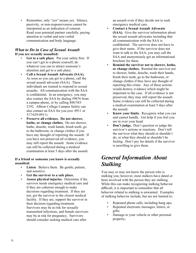• Remember, only "yes" means yes. Silence, passivity, or non-responsiveness cannot be interpreted as an indication of consent. Read your potential partner carefully, paying attention to verbal and non-verbal communication and body language.

### *What to Do in Case of Sexual Assault* **If you are sexually assaulted:**

- Get to a safe place. Put your safety first. If you can't get to a phone yourself, do whatever you can to attract someone's attention and get to a safe place.
- **Call a Sexual Assault Advocate (SAA).** As soon as you can get to a phone, call the sexual assault advocate (SAA). These individuals are trained to respond to sexual assaults. All communication with the SAA is confidential. In an emergency, you may also contact the SAA by dialing #9876 from a campus phone, or by calling 888/383- 2192. Albion College Campus Safety can also contact an SAA for you (ext. 0911 or 517/629-0911).
- **Preserve all evidence. Do not shower, bathe, or change clothes.** Do not shower, bathe, douche, wash hands, brush teeth, go to the bathroom, or change clothes if you have any thought of reporting the assault. If you have not preserved all evidence, you may still report the assault. Some evidence can still be collected during a medical examination at least 5 days after the assault.

### **If a friend or someone you know is sexually assaulted:**

- **Listen**. Believe them. Be gentle, patient, and sensitive.
- **Get the survivor to a safe place.**
- **Assess physical injuries.** Determine if the survivor needs emergency medical care and if they are coherent enough to make decisions regarding treatment. If they are not, get the survivor to the closest medical facility. If they are, support the survivor in their decision regarding treatment. Survivors may be at risk for sexually transmitted infections, and female survivors may be at risk for pregnancy. Survivors should consider seeking medical care after

an assault even if they decide not to seek emergency medical care.

- **Contact a Sexual Assault Advocate (SAA).** Give the survivor information about the sexual assault advocates including that all communication with the SAA is confidential. The survivor does not have to give their name. If the survivor does not want to talk to the SAA, you may call the SAA and anonymously get an informational brochure for them.
- **Remind the survivor not to shower, bathe, or change clothes.** Remind the survivor not to shower, bathe, douche, wash their hands, brush their teeth, go to the bathroom, or change clothes if they have any thought of reporting this crime. Any of these actions would destroy evidence which might be important to the case. If all evidence is not preserved, they may still report the assault. Some evidence can still be collected during a medical examination at least 5 days after the assault.
- **Know your limits**. Recognize what you can and cannot handle. Get help if you feel you are in over your head.
- **Don't judge.** Don't question or judge the survivor's actions or reactions. Don't tell the survivor what they should or shouldn't do, or what they should or shouldn't be feeling. Don't pry for details if the survivor is unwilling to give them.

# *General Information About Stalking*

You may or may not know the person who is stalking you; however, most stalkers have dated or been involved with the person they are stalking. While this can make recognizing stalking behavior difficult, it is important to remember that all behavior related to stalking is unwanted. Examples of stalking behavior include, but are not limited to:

- Repeated phone calls, including hang ups;
- Repeated electronic messages, letters, or gifts;
- Damage to your vehicle or other personal property;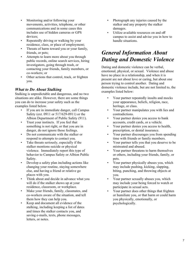- Monitoring and/or following your movements, activities, telephone, or other communications and in some cases this includes use of hidden cameras or GPS devices<sup>.</sup>
- Repeatedly driving or walking by your residence, class, or place of employment;
- Threats of harm toward you or your family, friends, or pets;
- Attempts to learn more about you through public records, online search services, hiring investigators, going through trash, or contacting your friends, family members, or co-workers; or
- Other actions that control, track, or frighten you.

### *What to Do About Stalking*

Stalking is unpredictable and dangerous, and no two situations are alike. However, there are some things you can do to increase your safety such as the examples listed below.

- If you are in immediate danger, call Campus Safety (ext. 0911 or 517/629-0911) or the Albion Department of Public Safety (911).
- Trust your instincts. If you feel that something is not right, or that you are in danger, do not ignore those feelings.
- Do not communicate with the stalker or respond to attempts to contact you.
- Take threats seriously, especially if the stalker mentions suicide or physical violence. Immediately report this type of behavior to Campus Safety or Albion Public Safety.
- Develop a safety plan including actions like changing your routine, staying somewhere else, and having a friend or relative go places with you.
- Think about and decide in advance what you will do if the stalker shows up at your residence, classroom, or workplace.
- Make your friends, family, classmates, and co-workers aware of the situation, and tell them how they can help you.
- Keep and document all evidence of the stalking, including keeping a list of dates and times the stalker contacts you, and saving e-mails, texts, phone messages, letters, or notes.
- Photograph any injuries caused by the stalker and any property the stalker damages.
- Utilize available resources on and off campus to assist and advise you in how to handle situations.

# *General Information About Dating and Domestic Violence*

Dating and domestic violence can be verbal, emotional, physical, or sexual. Violence and abuse have no place in a relationship, and when it is present are not about love or caring, but about one person trying to control another. Dating and domestic violence include, but are not limited to, the examples listed below:

- Your partner repeatedly insults and mocks your appearance, beliefs, religion, race, heritage, or class.
- Your partner manipulates you with lies and contradictions.
- Your partner denies you access to bank accounts, credit cards, or a vehicle.
- Your partner denies you access to health, prescription, or dental insurance.
- Your partner discourages you from spending time with friends or family members.
- Your partner tells you that you deserve to be mistreated and abused.
- Your partner threatens to harm themselves or others, including your friends, family, or pets.
- Your partner physically abuses you, which may include pushing, kicking, slapping, biting, punching, and throwing objects at you.
- Your partner sexually abuses you, which may include your being forced to watch or participate in sexual acts.
- Your partner does other things that frighten or humiliate you, or that harm or could harm you physically, emotionally, or psychologically.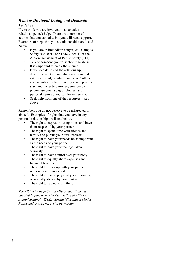### *What to Do About Dating and Domestic Violence*

If you think you are involved in an abusive relationship, seek help. There are a number of actions that you can take, but you will need support. Examples of steps that you should consider are listed below.

- If you are in immediate danger, call Campus Safety (ext. 0911 or 517/629- 0911) or the Albion Department of Public Safety (911).
- Talk to someone you trust about the abuse. It is important to break the silence.
- If you decide to end the relationship, develop a safety plan, which might include asking a friend, family member, or College staff member for help; finding a safe place to stay; and collecting money, emergency phone numbers, a bag of clothes, and personal items so you can leave quickly.
- Seek help from one of the resources listed above.

Remember, you do not deserve to be mistreated or abused. Examples of rights that you have in any personal relationship are listed below.

- The right to express your opinions and have them respected by your partner.
- The right to spend time with friends and family and pursue your own interests.
- The right to have your needs be as important as the needs of your partner.
- The right to have your feelings taken seriously.
- The right to have control over your body.
- The right to equally share expenses and financial benefits.
- The right to break up with your partner without being threatened.
- The right not to be physically, emotionally, or sexually abused by your partner.
- The right to say no to anything.

*The Albion College Sexual Misconduct Policy is adapted in part from The Association of Title IX Administrators' (ATIXA) Sexual Misconduct Model Policy and is used here with permission.*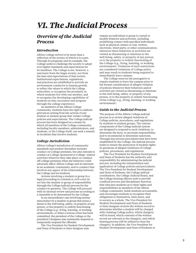# *VI. The Judicial Process*

### *Overview of the Judicial Process*

### *Introduction*

Albion College strives to be more than a reflection of the society of which it is a part. Through its programs and its example, the College seeks to challenge the society to adopt ever higher standards and expectations for its members. The College is not, however, a sanctuary from the larger society, nor from the laws and expectations of that society. Institutional expectations, regulations, and practices are established to provide an environment conducive to human growth, to reflect the values to which the College subscribes, to recognize the proximity in which students live with one another, and to recognize the developing capabilities of students as they encounter and progress through the college experience.

As members of the Albion College community, students have the right to address grievances arising from the actions of any student or student group that violate College policies and expectations. The College judicial process has been designed as a means by which all members of the College community, including faculty members, administrators, and students, or the College itself, can seek a remedy in incidents that involve students.

### *College Jurisdiction*

Albion College's jurisdiction of community standards and student discipline includes conduct on College premises, but also extends to conduct at College-sponsored or College- related activities wherever they take place; to conduct off College premises when the behavior could adversely affect Albion College and its interests as an academic community; and to conduct that involves any aspect of the relationship between the College and its students.

Actions involving a student or group in a legal proceeding in criminal or civil court do *not* free the student or group of responsibility through the College judicial process for the conduct in question. The College will proceed with its internal review and process according to a timetable to be determined by the College.

In an extraordinary case involving serious misconduct by a student or group that poses a threat to the well-being, safety, or property of any person, or the property or orderly functioning of the College (e.g., living, learning, or working environment), or when a serious crime has been committed, the president of the College or the president's designee may summarily suspend or temporarily suspend the offender.

The Vice President for Student Development and Dean of Students or their designee may

require an individual or group to curtail or modify behavior and activities, including prohibiting contact with specified individuals such as physical contact or oral, written, electronic, third-party, or other communication, whenever these behaviors or activities are viewed as threatening or injurious to the well-being, safety, or property of any person, or to the property or orderly functioning of the College (e.g., living, learning, or working environment). Violations of such restrictions are considered violations of College policy and may result in students being required to immediately leave campus.

The College reserves the prerogative to require students to leave the campus prior to the formal consideration of alleged violation of policies whenever their behaviors and/or activities are viewed as threatening or injurious to the well-being, safety, or property of any person, or to the property or orderly functioning of the College (e.g., living, learning, or working environment).

### *Guide to the Judicial Process*

The purpose of the Albion College judicial process is to review alleged violations of College policies, procedures, and regulations by students or student groups. The various components of the College judicial system are designed to respond to such violations, to determine the facts, to ascertain responsibility, and to recommend or determine sanctions. Through due process procedures that have been established by the College, the judicial process seeks to ensure the protection of student rights in questions of alleged violations of College policies, procedures, and regulations.

The Vice President for Student Development and Dean of Students has the authority and responsibility for administering the judicial process, including the interpretation and application of College policies and procedures. The Vice President for Student Development and Dean of Students, the College judicial coordinators, the College Judicial Board, and the College hearing officers seek to provide a judicial process and disciplinary function that educates students as to their rights and responsibilities as members of the Albion College community, holds students accountable, and encourages students to recognize their obligations to themselves, their peers, and to society as a whole. The Vice President for Student Development and Dean of Students or their designee reviews the written record to determine whether a student will be charged with violating College policy, which charge(s) will be heard, which contents of the written record are relevant to the charge(s), and which hearing process will be utilized to hear the charge(s). In addition, the Vice President for Student Development and Dean of Students or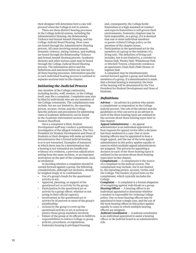their designee will determine how a case will proceed when the College is not in session.

There are three distinct hearing processes in the College judicial system, including the Administrative Hearing, the Relationship Violence and Sexual Assault Hearing, and the College Judicial Board Hearing. Most cases are heard through the Administrative Hearing process. All cases involving sexual assault, domestic violence, dating violence, and stalking are heard through the Relationship Violence and Sexual Assault Hearing process. Academic Honesty and other serious cases may be heard through the College Judicial Board Hearing process. The information above and the definitions and sanctions below are relevant to all three hearing processes. Information specific to each individual hearing process is outlined in separate sections later in this chapter.

### *Initiating the Judicial Process*

Any member of the College community, including faculty, staff, student, or the College itself, may file a complaint. Complaints may also be filed by individuals who are not members of the College community. The complainants may include, but are not limited to, the reporting person, accuser, victim, and the College. Specific policies and procedures for addressing cases of academic dishonesty can be found in the Academic Information section of the *Student Handbook*.

Once a complaint is filed, Student Development staff may conduct a preliminary investigation of the alleged violation. The Vice President for Student Development and Dean of Students or their designee will make an initial determination that a formal judicial hearing is or is not warranted. Examples of instances in which there may be a determination that a hearing is not warranted are insufficient evidence of a violation, a previous adjudication arising from the same incident, or an improper motivation on the part of the complainant, such as retaliation.

In deciding whether a complaint should be carried forward against a group, the following considerations, although not exclusive, should be weighed singly or in combination:

- Use of a group's funds for the questioned activity or act;
- Approval, planning, or support of the questioned act or activity by the group;
- Participation in the questioned act or activity by a group officer, whether or not acting in their official capacity;
- Involvement in the questioned act or activity by 10 percent or more of the group's membership;
- Actions by the group to cover up the questioned activity or act or actions to protect those group members involved;
- Failure of the group or its officers to fulfill its responsibilities to enforce College or group policies, procedures, or regulations;
- Fraternity housing is privileged housing

and, consequently, the College holds fraternities to a high standard of conduct and expects fraternities to self-govern their environments. Fraternity chapters may be held responsible, as a group, if it is deemed that one or more individual members or guests violated College policy on the premises of the chapter house.

• Participation in the questioned act by the members of a group or the residents of a living unit. The definition of living unit includes, but is not limited to, a corridor in Seaton Hall, Wesley Hall, Whitehouse Hall, or Mitchell Towers; a fraternity residence; an apartment; Dean Hall; Fiske House; or Ingham Hall.

A complaint may be simultaneously carried forward against a group and individual members of a group. If a determination is made that a formal hearing is warranted, the form of the hearing will be determined by the Vice President for Student Development and Dean of Students.

### *Definitions*

**Adviser** — An adviser is a person who assists a complainant or respondent in the College judicial process. The role of the adviser and the guidelines on who can serve as an adviser in each of the three hearing types are outlined in the sections about those hearing types later in this chapter.

**Appeal Administrator** — An appeal administrator is an individual appointed to hear requests for appeal review after a decision has been rendered in a case. One or more hearing officers may be appointed to hear a single appeal, and the use of the term appeal administrator in this policy applies equally to cases in which multiple appeal administrators are assigned. The process for appealing a decision in each of the three hearing types is outlined in the sections about those hearing types later in this chapter.

**Complainant** — A complainant is the source of a complaint in the judicial system. The complainant may include, but is not limited to, the reporting person, accuser, victim, and the College. The burden of proof rests on the complainant, which typically includes the College.

**Complaint** — A complaint is a formal allegation of wrongdoing against individuals or a group. **Hearing Officer** — A hearing officer is an individual appointed to determine whether a student is responsible for violating College policy. One or more hearing officers may be appointed to hear a single case, and the use of the term hearing officer in this policy applies equally to cases in which multiple hearing officers are assigned.

**Judicial Coordinator** — A judicial coordinator is an individual appointed to assist a hearing officer or the judicial board in an administrative role.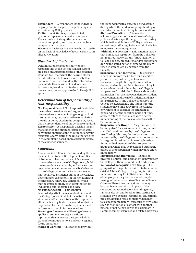**Respondent** — A respondent is the individual or group that is charged in the judicial system with violating College policy.

**Victim** — A victim is a person affected by another's person's behavior or actions. The victim is not always the person who makes a complaint, and may or may not be a complainant in a case.

**Witness** — A witness is a person who can testify on the basis of knowledge of facts relevant to an alleged violation.

### *Standard of Evidence*

Determinations of responsibility or nonresponsibility in the College judicial system are based on a preponderance of the evidence standard (i.e., that which the hearing officer or judicial board believes is more likely than not to have occurred based on the information presented). Formal rules of evidence, such as those employed in criminal or civil court proceedings, do not apply to the College judicial system.

### *Determination of Responsibility/ Non-Responsibility*

**Not Responsible** — A Not Responsible decision means that the evidence and arguments presented were not convincing enough to find the student or group responsible for violating the rule or policy cited in the complaint, based upon a preponderance of the evidence standard. **Responsible** — A Responsible decision means that evidence and arguments presented were convincing enough to find the student or group responsible for violating the rule or policy cited in the complaint, based upon a preponderance of the evidence standard.

### *Sanctions*

A sanction is a follow-up determined by the Vice President for Student Development and Dean of Students or hearing body which is meant to recognize a violation of College policy, hold the respondent accountable, and educate the respondent toward more responsible behavior in the College community. Sanctions may or may not affect a student's status at the College, depending on the severity of the violation and the necessary follow-up. Sanctions, which may be imposed singly or in combination for individuals and/or groups, include: **No Further Action** — This sanction

acknowledges that the respondent did violate the College policy cited, but the nature of the violation and/or the attitude of the respondent allow the hearing body to be confident that the respondent learned from the experience and will attempt to avoid future violations.

**Warning or Censure** — A Warning (Censure applies to student groups) is a written reprimand that expresses disapproval of the student's or group's actions and warns against future violations.

**Status of Warning** — This sanction provides

the respondent with a specific period of time during which the student or group should pay special attention to avoiding future violations. **Status of Probation** — This sanction acknowledges a serious violation of a College policy and sets a specific length of time during which further violations of College policies, procedures, and/or regulations would likely lead to more serious consequences.

**Withheld Suspension** — This sanction means that immediate separation from the College is not required. However, any future violation of College policies, procedures, and/or regulations during the stated period of time would likely result in immediate suspension from the College.

**Suspension of an Individual** — Suspension is separation from the College for a specified period of time, ordinarily at least one semester in length. During this separation, the respondent is prohibited from enrolling in any academic work offered by the College, is not permitted to visit the College without prior permission from the Vice President for Student Development and Dean of Students, and may not participate in any College-sponsored or College-related activity. The intent is for the student to have time away from the College environment to consider the situation at hand and, after the specified period of time, apply to return to the College with a better understanding of their responsibilities within the community.

**Suspension of a Group** — The group will not be recognized for a set amount of time, or until specified conditions set by the College are met. During this time, the group ceases to be recognized by the College and may not function. If the group is residential in nature, housing for individual members of the group or the group as a whole may be reassigned during the period of the suspension which may take effect immediately.

**Expulsion of an Individual** — Expulsion involves dismissal and permanent removal from the College without possibility of readmission. **Removal of Recognition of a Group** — The group will no longer be permitted to function or exist at Albion College. If the group is residential in nature, housing for individual members of the group or the group as a whole may be reassigned which may take effect immediately. **Other** — There are other actions that may be used in concert with or in place of the sanctions mentioned above including fines, random alcohol and/or other drug testing at a student's own expense, restitution, educational projects, housing reassignment (which may take effect immediately), forfeiture of privileges such as prohibition of contact with another person, or not being allowed to participate in Commencement exercises and related activities.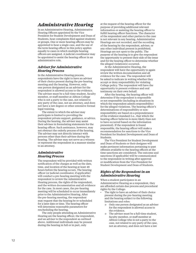# *Administrative Hearing*

In an Administrative Hearing, Administrative Hearing Officers appointed by the Vice President for Student Development and Dean of Students, hear complaints filed against students or groups. One or more hearing officers may be appointed to hear a single case, and the use of the term hearing officer in this policy applies equally to cases in which multiple hearing officers are assigned. A judicial coordinator may be appointed to assist the hearing officer in an administrative role.

### *Adviser for Administrative Hearing Process*

In the Administrative Hearing process, respondents have the right to have an adviser of their choice present during the pre-hearing meeting and the hearing. However, only one person designated as an adviser for the respondent is allowed access to the evidence. The adviser must be a full-time student, faculty member, or staff member at Albion College who is not a party to the case, not related to any party of the case, not an attorney, and does not have a law degree or other extensive formal legal training.

The extent to which the adviser may participate is limited to providing the respondent private support, guidance, or advice. During the hearing, the adviser may assist their advisee in formulating statements for the hearing officer. Such assistance, however, may not obstruct the orderly process of the hearing. The adviser may not directly interact with persons other than their advisee during the hearing. The adviser may not serve as a witness or represent the respondent in a manner similar to an attorney.

### *Administrative Hearing Process*

The respondent will be provided with written notification of the charges as well as the date, time, and location of the hearing at least 48 hours before the hearing occurs. The hearing officer (or judicial coordinator, if applicable) will conduct a pre-hearing meeting with the respondent to review the Administrative Hearing process, the rights of the respondent, and the written documentation and all evidence for the case. In most cases, the pre-hearing meeting will be scheduled to occur immediately prior to the Administrative Hearing. After the pre-hearing meeting, the respondent may request that the hearing be re-scheduled for a later date or time. The hearing officer will determine reasonable parameters for rescheduling the hearing.

The only people attending an Administrative Hearing are the hearing officer, the respondent, and an adviser to the respondent as outlined above. Additional individuals may be present during the hearing in full or in part, only

at the request of the hearing officer for the purpose of providing additional relevant information or assisting the hearing officer to fulfill hearing officer functions. The character of the respondent and other parties to the case is not relevant in any hearing. Administrative Hearings are not recorded, and the recording of the hearing by the respondent, adviser, or any other individual present is prohibited. Hearings are not open to the public. The purpose of the hearing is to give the respondent the opportunity to present their side of the issue and for the hearing officer to determine whether the alleged violation(s) occurred.

At the Administrative Hearing, the respondent will have the opportunity to again review the written documentation and all evidence for the case. The respondent will be asked to indicate in writing whether they accept or deny responsibility for violating College policy. The respondent will have the opportunity to present evidence and oral testimony on their own behalf.

After the hearing, the hearing officer will determine if the respondent is responsible or not responsible (including in situations in which the respondent admits responsibility) for the alleged violations. The hearing officer's determinations of responsibility or nonresponsibility are based on a preponderance of the evidence standard (i.e., that which the hearing officer believes is more likely than not to have occurred based on the information presented). If the respondent is found responsible, the hearing officer will make a recommendation for sanctions to the Vice President for Student Development and Dean of Students.

The Vice President for Student Development and Dean of Students or their designee will make pertinent information pertaining to past offenses available to the hearing officers at the time sanctions are considered. The outcome and sanctions (if applicable) will be communicated to the respondent in writing after approval or modification from the Vice President for Student Development and Dean of Students.

### *Rights of the Respondent in an Administrative Hearing*

When a student participates in an Administrative Hearing as a respondent, they are afforded certain due process and procedural rights by the College:

- The right to have an adviser of their choice present during the pre-hearing meeting and the hearing subject to the following limitations and roles:
	- o Only one person designated as an adviser for the respondent is allowed access to the evidence.
	- o The adviser must be a full-time student, faculty member, or staff member at Albion College who is not a party to the case, not related to any party of the case, not an attorney, and does not have a law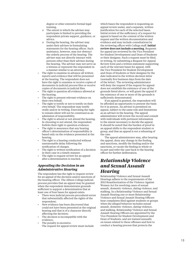degree or other extensive formal legal training.

- o The extent to which the adviser may participate is limited to providing the respondent private support, guidance, or advice.
- o During the hearing, the adviser may assist their advisee in formulating statements for the hearing officer. Such assistance, however, may not obstruct the orderly process of the hearing. The adviser may not directly interact with persons other than their advisee during the hearing. The adviser may not serve as a witness or represent the respondent in a manner similar to an attorney.
- The right to examine in advance all written reports and evidence that will be presented at the hearing. The respondent does not have the right to examine or receive copies of documents in judicial process files or receive copies of documents in judicial files.
- The right to question all evidence allowed at the hearing.
- The right to present relevant evidence on their own behalf.
- The right to testify or not to testify on their own behalf. The respondent may testify orally and/or in writing. Exercising the right to remain silent will not be construed as an admission of responsibility.
- The right to attend or not attend the hearing. In choosing to not attend, the respondent forfeits their right to question evidence.
- The right to assurance that any hearing officer's determination of responsibility is based only on the evidence presented at the hearing.
- The right to a hearing conducted without unreasonable delay following the notification of charges.
- The right to written notification of a decision in their case in a timely manner.
- The right to request review for an appeal after a determination is reached.

### *Appealing the Decision in an Administrative Hearing*

The respondent has the right to request review for an appeal of the decision and/or sanctions of the hearing officer. The Albion College judicial process provides that an appeal may be granted when the respondent demonstrates grounds sufficient to support a determination that at least one of four bases for appeal exists:

- There were judicial process procedural errors that substantially affected the rights of the respondent;
- New evidence has been discovered that could not have been presented at the original hearing and that is of a character directly affecting the decision;
- The decision is incompatible with the evidence;
- The penalty is excessive. The request for appeal review must include

which bases the respondent is requesting an appeal review under, and a separate, written justification for each of the selected bases. Initial review of the sufficiency of a request for appeal is based on the content of the written request and the written documentation and evidence and may include consultations by the reviewing officer with College staff. **Initial review does not include a meeting**. Requests for appeal are reviewed by the Vice President for Student Development and Dean of Students or their designee. Such a request must be filed, in writing, by submitting a Request for Appeal Review form and a written statement supporting each of the relevant bases for appeal, with the Vice President for Student Development and Dean of Students or their designee by the date indicated in the written decision letter (normally five business days from the date of the letter). The reviewing administrator will deny the request if the request for appeal does not establish the existence of one of the grounds listed above, or will grant the appeal if the existence of one or more of the grounds is sufficiently demonstrated.

If an appeal is granted, the respondent will be afforded an opportunity to present the basis for it in person. An adviser is permitted on appeal, subject to the same role and limitations as an adviser in the hearing. The appeal administrator will review the record and consult with individuals with pertinent information to the extent necessary to decide the appeal. It should be noted that the burden of proof in an appeal shifts to the respondent student or group, and that an appeal is *not* a rehearing of the case.

The appeal administrator may, after hearing the appeal, deny any change in the finding and sanctions, modify the finding and/or the sanctions, or vacate the finding in whole or in part and refer the case back to the hearing officer for further deliberation.

# *Relationship Violence and Sexual Assault Hearing*

Relationship Violence and Sexual Assault Hearings adhere to the requirements of the 2013 Reauthorization of the Violence Against Women Act for resolving cases of sexual assault, domestic violence, dating violence, and stalking. In a Relationship Violence and Sexual Assault Hearing one or more Relationship Violence and Sexual Assault Hearing Officers hear complaints filed against students or groups when the alleged behavior includes sexual assault, domestic violence, dating violence, and stalking. Relationship Violence and Sexual Assault Hearing Officers are appointed by the Vice President for Student Development and Dean of Students, and are trained annually on issues related to these offenses and how to conduct a hearing process that protects the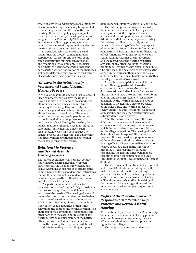safety of survivors and promotes accountability. One or more hearing officers may be appointed to hear a single case, and the use of the term hearing officer in this policy applies equally to cases in which multiple hearing officers are assigned. In the Relationship Violence and Sexual Assault Hearing process, a judicial coordinator is normally appointed to assist the hearing officer in an administrative role.

In the Relationship Violence and Sexual Assault Hearing process, complainants and respondents (parties) are entitled to all of the same opportunities during the investigation and resolution of the complaint. The judicial coordinator or hearing officer will provide the parties with a written notification of the charges as well as the date, time, and location of the hearing at least 5 business days before the hearing.

### *Advisers in the Relationship Violence and Sexual Assault Hearing Process*

In the Relationship Violence and Sexual Assault Hearing process, parties have the right to have an adviser of their choice present during all interviews, conferences, and meetings, including the hearing. However, only one person designated as an adviser for a party is allowed access to the evidence. The extent to which the adviser may participate is limited to providing their advisee private support, guidance, or advice. During the hearing, the adviser may assist their advisee in formulating statements for the hearing officer. Such assistance, however, may not obstruct the orderly process of the hearing. The adviser may not directly interact with persons other than their advisee during the hearing.

### *Relationship Violence and Sexual Assault Hearing Process*

The judicial coordinator will normally conduct individual pre-hearing meetings with each party to review the Relationship Violence and Sexual Assault Hearing process, the rights of the complainant and the respondent, and instructions for how the complainant, respondent, and their advisers may access the written documentation and all evidence for the case.

The parties may submit evidence for consideration to the Campus Safety investigator for the case at any time, up to 48 hours in advance of the hearing. The hearing officer will review the information and determine whether to add the information to the documentation. The hearing officer may choose to not include information that is repetitive or that is not relevant to the charges under consideration. The character of the complainant, respondent, and other parties to the case is not relevant in any hearing. Previous sexual history of the parties, other than with each other, is not relevant. Before the hearing, the respondent will be asked to indicate in writing whether they accept or

deny responsibility for violating College policy.

The only people attending a Relationship Violence and Sexual Assault Hearing are the hearing officer(s), the respondent and an adviser, and the complainant and an adviser. Additional individuals may be present during the hearing in full or in part, only at the request of the hearing officer for the purpose of providing additional relevant information or assisting the hearing officer to fulfill hearing officer functions. Relationship Violence and Sexual Assault Hearings are not recorded, and the recording of the hearing by parties, advisers, or any other individual present is prohibited. Hearings are not open to the public. The purpose of the hearing is to give parties the opportunity to present their side of the issue and for the hearing officer to determine whether the alleged violation(s) occurred.

At the Relationship Violence and Sexual Assault Hearing, parties will have the opportunity to again review the written documentation and all evidence for the case. The parties will have the opportunity to submit opening and closing statements, respond to questions by the hearing officer, and submit questions to the hearing officer to be asked of the other party. The hearing officer will review submitted questions for relevance and admissibility and may then ask the questions submitted by the other party.

After the hearing, the hearing officer will determine if the respondent is responsible or not responsible (including in situations in which the respondent admits responsibility) for the alleged violations. The hearing officer's determinations of responsibility or nonresponsibility are based on a preponderance of the evidence standard (i.e., that which the hearing officer believes is more likely than not to have occurred based on the information presented). If the respondent is found responsible, the hearing officer will make a recommendation for sanctions to the Vice President for Student Development and Dean of Students.

The Vice President for Student Development and Dean of Students or their designee will make pertinent information pertaining to past offenses available to the hearing officers at the time sanctions are considered. Parties will be simultaneously notified in writing of the outcome of the hearing and procedures for appealing the decision (i.e., request for an appeal review).

### *Rights of the Complainant and Respondent in a Relationship Violence and Sexual Assault Hearing*

When a student participates in the Relationship Violence and Sexual Assault Hearing process as a complainant or a respondent, they are afforded certain due process and procedural rights by the College:

The complainant and respondent are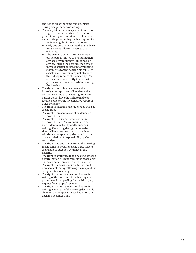entitled to all of the same opportunities during disciplinary proceedings.

- The complainant and respondent each has the right to have an adviser of their choice present during all interviews, conferences, and meetings, including the hearing, subject to the following limitations and roles:
	- o Only one person designated as an adviser for a party is allowed access to the evidence.
	- o The extent to which the adviser may participate is limited to providing their advisee private support, guidance, or advice. During the hearing, the adviser may assist their advisee in formulating statements for the hearing officer. Such assistance, however, may not obstruct the orderly process of the hearing. The adviser may not directly interact with persons other than their advisee during the hearing.
- The right to examine in advance the investigative report and all evidence that will be presented at the hearing. However, parties do not have the right to make or receive copies of the investigative report or other evidence.
- The right to question all evidence allowed at the hearing.
- The right to present relevant evidence on their own behalf.
- The right to testify or not to testify on their own behalf. The complainant and respondent may testify orally and/ or in writing. Exercising the right to remain silent will not be construed as a decision to withdraw a complaint by the complainant or an admission of responsibility by the respondent.
- The right to attend or not attend the hearing. In choosing to not attend, the party forfeits their right to question evidence at the hearing.
- The right to assurance that a hearing officer's determination of responsibility is based only on the evidence presented at the hearing.
- The right to a hearing conducted without unreasonable delay following the respondent being notified of charges.
- The right to simultaneous noti fication in writing of the outcome of the hearing and procedures for appealing the decision (i.e., request for an appeal review).
- The right to simultaneous noti fication in writing if any part of the hearing decision is changed under appeal, as well as when the decision becomes final.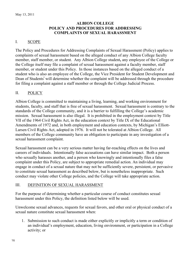### **ALBION COLLEGE POLICY AND PROCEDURES FOR ADDRESSING COMPLAINTS OF SEXUAL HARASSMENT**

### I. SCOPE

The Policy and Procedures for Addressing Complaints of Sexual Harassment (Policy) applies to complaints of sexual harassment based on the alleged conduct of any Albion College faculty member, staff member, or student. Any Albion College student**,** any employee of the College or the College itself may file a complaint of sexual harassment against a faculty member, staff member, or student under this Policy. In those instances based on the alleged conduct of a student who is also an employee of the College, the Vice President for Student Development and Dean of Students<sup>i</sup> will determine whether the complaint will be addressed through the procedure for filing a complaint against a staff member or through the College Judicial Process.

### II. POLICY

Albion College is committed to maintaining a living, learning, and working environment for students, faculty, and staff that is free of sexual harassment. Sexual harassment is contrary to the standards of the College community, and it is a barrier to fulfilling the College's academic mission. Sexual harassment is also illegal. It is prohibited in the employment context by Title VII of the 1964 Civil Rights Act, in the education context by Title IX of the Educational Amendments of 1972 and, in both employment and education contexts, by Michigan's Elliott-Larsen Civil Rights Act, adopted in 1976. It will not be tolerated at Albion College. All members of the College community have an obligation to participate in any investigation of a sexual harassment complaint.

Sexual harassment can be a very serious matter having far-reaching effects on the lives and careers of individuals. Intentionally false accusations can have similar impact. Both a person who sexually harasses another, and a person who knowingly and intentionally files a false complaint under this Policy, are subject to appropriate remedial action. An individual may engage in conduct of a sexual nature that may not be sufficiently severe, persistent, or pervasive to constitute sexual harassment as described below, but is nonetheless inappropriate. Such conduct may violate other College policies, and the College will take appropriate action.

### III. DEFINITION OF SEXUAL HARASSMENT

For the purpose of determining whether a particular course of conduct constitutes sexual harassment under this Policy, the definition listed below will be used.

Unwelcome sexual advances, requests for sexual favors, and other oral or physical conduct of a sexual nature constitute sexual harassment when:

1. Submission to such conduct is made either explicitly or implicitly a term or condition of an individual's employment, education, living environment, or participation in a College activity; or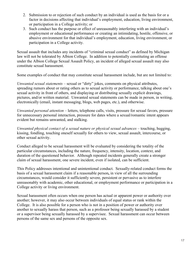- 2. Submission to or rejection of such conduct by an individual is used as the basis for or a factor in decisions affecting that individual's employment, education, living environment, or participation in a College activity; or
- 3. Such conduct has the purpose or effect of unreasonably interfering with an individual's employment or educational performance or creating an intimidating, hostile, offensive, or abusive environment for that individual's employment, education, living environment, or participation in a College activity.

Sexual assault that includes any incidents of "criminal sexual conduct" as defined by Michigan law will not be tolerated by Albion College. In addition to potentially constituting an offense under the Albion College Sexual Assault Policy, an incident of alleged sexual assault may also constitute sexual harassment.

Some examples of conduct that may constitute sexual harassment include, but are not limited to:

*Unwanted sexual statements* – sexual or "dirty" jokes, comments on physical attributes, spreading rumors about or rating others as to sexual activity or performance, talking about one's sexual activity in front of others, and displaying or distributing sexually explicit drawings, pictures, and/or written material. Unwanted sexual statements can be made in person, in writing, electronically (email, instant messaging, blogs, web pages, etc.), and otherwise.

*Unwanted personal attention* – letters, telephone calls, visits, pressure for sexual favors, pressure for unnecessary personal interaction, pressure for dates where a sexual/romantic intent appears evident but remains unwanted, and stalking.

*Unwanted physical contact of a sexual nature or physical sexual advances* – touching, hugging, kissing, fondling, touching oneself sexually for others to view, sexual assault, intercourse, or other sexual activity.

Conduct alleged to be sexual harassment will be evaluated by considering the totality of the particular circumstances, including the nature, frequency, intensity, location, context, and duration of the questioned behavior. Although repeated incidents generally create a stronger claim of sexual harassment, one severe incident, even if isolated, can be sufficient.

This Policy addresses intentional and unintentional conduct. Sexually-related conduct forms the basis of a sexual harassment claim if a reasonable person**,** in view of all the surrounding circumstances, would consider it sufficiently severe, persistent or pervasive as to interfere unreasonably with academic, other educational, or employment performance or participation in a College activity or living environment.

Sexual harassment often occurs when one person has actual or apparent power or authority over another; however, it may also occur between individuals of equal status or rank within the College. It is also possible for a person who is not in a position of power or authority over another to sexually harass that person, such as a professor being sexually harassed by a student or a supervisor being sexually harassed by a supervisee. Sexual harassment can occur between persons of the same sex and persons of the opposite sex.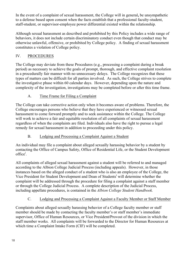In the event of a complaint of sexual harassment, the College will in general**,** be unsympathetic to a defense based upon consent when the facts establish that a professional faculty-student, staff-student, or supervisor-employee power differential existed within the relationship.

Although sexual harassment as described and prohibited by this Policy includes a wide range of behaviors, it does not include certain discriminatory conduct even though that conduct may be otherwise unlawful, offensive, or prohibited by College policy. A finding of sexual harassment constitutes a violation of College policy.

### IV. PROCEDURES

The College may deviate from these Procedures (e.g., processing a complaint during a break period) as necessary to achieve the goals of prompt, thorough, and effective complaint resolution in a procedurally fair manner with no unnecessary delays. The College recognizes that these types of matters can be difficult for all parties involved. As such, the College strives to complete the investigative phase within 60 calendar days. However, depending upon the nature and complexity of the investigation, investigations may be completed before or after this time frame.

### A. Time Frame for Filing a Complaint

The College can take corrective action only when it becomes aware of problems. Therefore, the College encourages persons who believe that they have experienced or witnessed sexual harassment to come forward promptly and to seek assistance within the College. The College will work to achieve a fair and equitable resolution of all complaints of sexual harassment regardless of when the complaints are filed. Individuals also have the right to pursue a legal remedy for sexual harassment in addition to proceeding under this policy.

### B. Lodging and Processing a Complaint Against a Student

An individual may file a complaint about alleged sexually harassing behavior by a student by contacting the Office of Campus Safety, Office of Residential Life, or the Student Development office<sup>i</sup>.

All complaints of alleged sexual harassment against a student will be referred to and managed according to the Albion College Judicial Process (including appeals). However, in those instances based on the alleged conduct of a student who is also an employee of the College, the Vice President for Student Development and Dean of Students<sup>i</sup> will determine whether the complaint will be addressed through the procedure for filing a complaint against a staff member or through the College Judicial Process.A complete description of the Judicial Process, including appellate procedures, is contained in the *Albion College Student Handbook.*

# C. Lodging and Processing a Complaint Against a Faculty Member or Staff Member

Complaints about alleged sexually harassing behavior of a College faculty member or staff member should be made by contacting the faculty member's or staff member's immediate supervisor, Office of Human Resources, or Vice President**/**Provost of the division in which the staff member works. All complaints will be forwarded to the Director for Human Resources at which time a Complaint Intake Form (CIF) will be completed.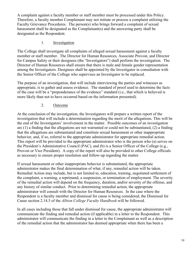A complaint against a faculty member or staff member must be processed under this Policy. Therefore, a faculty member Complainant may not initiate or process a complaint utilizing the Faculty Grievance Procedures. The person(s) who brings forward a complaint of sexual harassment shall be designated as the Complainant(s) and the answering party shall be designated as the Respondent.

### 1. Investigation

The College shall investigate all complaints of alleged sexual harassment against a faculty member or staff member. The Director for Human Resources, Associate Provost, and Director for Campus Safety or their designees (the "Investigators") shall perform the investigation. The Director of Human Resources shall ensure that there is male and female gender representation among the Investigators. Designees shall be appointed by the Investigator in consultation with the Senior Officer of the College who supervises an Investigator to be replaced.

The purpose of an investigation, that will include interviewing the parties and witnesses as appropriate, is to gather and assess evidence. The standard of proof used to determine the facts of the case will be a "preponderance of the evidence" standard (i.e., that which is believed is more likely than not to have occurred based on the information presented).

### 2. Outcome

At the conclusion of the investigation, the Investigators will prepare a written report of the investigation that will include a determination regarding the merit of the allegations. This will be the end of the Investigators' involvement in the matter. Possible outcomes of an investigation are (1) a finding that the allegations are not warranted or could not be substantiated, (2) a finding that the allegations are substantiated and constitute sexual harassment or other inappropriate behavior, and, if so, referral to the appropriate administrator for appropriate remedial action. This report will be provided to the appropriate administrator who is the person who (a) serves on the President's Administrative Council (PAC), and (b) is a Senior Officer of the College (e.g., Provost or Vice President). A copy of the report will also be provided to other College officials as necessary to ensure proper resolution and follow-up regarding the matter.

If sexual harassment or other inappropriate behavior is substantiated, the appropriate administrator makes the final determination of what, if any, remedial action will be taken. Remedial Action may include, but is not limited to, education, training, negotiated settlement of the complaint, a warning, a reprimand, a suspension, or termination of employment. The severity of the remedial action will depend on the frequency, duration, and**/**or severity of the offense, and any history of similar conduct. Prior to determining remedial action, the appropriate administrator will consult with the Director for Human Resources. In the case where the Respondent is a faculty member and dismissal for cause is being considered, the Dismissal for Cause section 2.14.5 of the *Albion College Faculty Handbook* will be followed.

In all cases including those that fall under dismissal for cause, the appropriate administrator will communicate the finding and remedial action (if applicable) in a letter to the Respondent. This administrator will communicate the finding in a letter to the Complainant as well as a description of the remedial action that the administrator has deemed appropriate when there has been a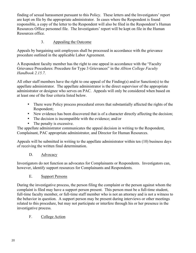finding of sexual harassment pursuant to this Policy. These letters and the Investigators' report are kept on file by the appropriate administrator. In cases where the Respondent is found responsible, a copy of the letter to the Respondent will also be filed in the Respondent's Human Resources Office personnel file. The Investigators' report will be kept on file in the Human Resources office.

### 3. Appealing the Outcome

Appeals by bargaining unit employees shall be processed in accordance with the grievance procedure outlined in the applicable Labor Agreement.

A Respondent faculty member has the right to one appeal in accordance with the "Faculty Grievance Procedures: Procedure for Type 3 Grievances" in the *Albion College Faculty Handbook 2.15.7*.

All other staff members have the right to one appeal of the Finding(s) and/or Sanction(s) to the appellate administrator. The appellate administrator is the direct supervisor of the appropriate administrator or designee who serves on PAC. Appeals will only be considered when based on at least one of the four criteria listed below.

- There were Policy process procedural errors that substantially affected the rights of the Respondent;
- New evidence has been discovered that is of a character directly affecting the decision;
- The decision is incompatible with the evidence; and/or
- The penalty is excessive.

The appellate administrator communicates the appeal decision in writing to the Respondent, Complainant, PAC appropriate administrator, and Director for Human Resources.

Appeals will be submitted in writing to the appellate administrator within ten (10) business days of receiving the written final determination.

D. Advocacy

Investigators do not function as advocates for Complainants or Respondents. Investigators can, however, identify support resources for Complainants and Respondents.

E. Support Persons

During the investigative process, the person filing the complaint or the person against whom the complaint is filed may have a support person present. This person must be a full-time student, full-time faculty member, or full-time staff member who is not an attorney and is not a witness to the behavior in question. A support person may be present during interviews or other meetings related to this procedure, but may not participate or interfere through his or her presence in the investigative process.

### F. College Action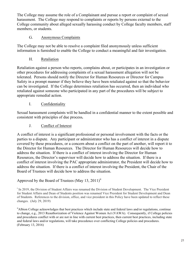The College may assume the role of a Complainant and pursue a report or complaint of sexual harassment. The College may respond to complaints or reports by persons external to the College community about alleged sexually harassing conduct by College faculty members, staff members, or students.

### G. Anonymous Complaints

The College may not be able to resolve a complaint filed anonymously unless sufficient information is furnished to enable the College to conduct a meaningful and fair investigation.

H. Retaliation

Retaliation against a person who reports, complains about, or participates in an investigation or other procedures for addressing complaints of a sexual harassment allegation will not be tolerated. Persons should notify the Director for Human Resources or Director for Campus Safety in a prompt manner if they believe they have been retaliated against so that the behavior can be investigated. If the College determines retaliation has occurred, then an individual who retaliated against someone who participated in any part of the procedures will be subject to appropriate remedial action.

### I. Confidentiality

Sexual harassment complaints will be handled in a confidential manner to the extent possible and consistent with principles of due process**.**

### J. Conflict of Interest

A conflict of interest is a significant professional or personal involvement with the facts or the parties to a dispute. Any participant or administrator who has a conflict of interest in a dispute covered by these procedures, or a concern about a conflict on the part of another, will report it to the Director for Human Resources. The Director for Human Resources will decide how to address the situation. If there is a conflict of interest involving the Director for Human Resources, the Director's supervisor will decide how to address the situation. If there is a conflict of interest involving the PAC appropriate administrator, the President will decide how to address the situation. If there is a conflict of interest involving the President, the Chair of the Board of Trustees will decide how to address the situation.

### Approved by the Board of Trustees (May 13, 2011)<sup>ii</sup>

<sup>i</sup> In 2019, the Division of Student Affairs was renamed the Division of Student Development. The Vice President for Student Affairs and Dean of Students position was renamed Vice President for Student Development and Dean of Students. References to the division, office, and vice president in this Policy have been updated to reflect these changes. (July 29, 2019)

iiAlbion College acknowledges that best practices which include state and federal laws and/or regulations, continue to change, e.g., 2013 Reauthorization of Violence Against Women Act (VAWA). Consequently, if College policies and procedures conflict with or are not in line with current best practices, then current best practices, including state and federal laws and/or regulations, will take precedence over conflicting College policies and procedures. (February 13, 2016)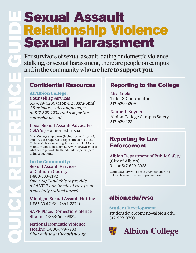# Sexual Assault Relationship Violence<br>Sexual Harassment **Sexual Assault**<br> **Sexual Harassment, there are proper consistential associating of domestic violence**<br>
to reversion of sexual assault, dating or domestic violence,<br>
stalking, or sexual harassment, there are people or a c

stalking, or sexual harassment, there are people on campus and in the community who are **here to support you**.

# Confidential Resources

# **At Albion College:**

Counseling Services 517-629-0236 (Mon-Fri, 8am-5pm) *After hours, call campus safety at 517-629-1234 and ask for the counselor on call*

# Local Sexual Assault Advocates (LSAAs) – albion.edu/lsaa

Most College employees (including faculty, staff, and RAs) are required to report incidents to the College. Only Counseling Services and LSAAs can maintain confidentiality. Survivors always choose whether to provide further details or participate in investigations.

### **In the Community:** Sexual Assault Services of Calhoun County 1-888-383-2192 *Open 24/7 and able to provide a SANE Exam (medical care from*

*a specially trained nurse)*

Michigan Sexual Assault Hotline 1-855-VOICES4 (864-2374)

SAFE Place, Domestic Violence Shelter 1-888-664-9832

National Domestic Violence Hotline 1-800-799-7233 *Chat online at thehotline.org*

# Reporting to the College

Lisa Locke Title IX Coordinator 517-629-0206

Kenneth Snyder Albion College Campus Safety 517-629-1234

# Reporting to Law **Enforcement**

Albion Department of Public Safety (City of Albion) 911 or 517-629-3933

Campus Safety will assist survivors reporting to local law enforcement upon request.

# albion.edu/rvsa

**Student Development** studentdevelopment@albion.edu 517-629-0750